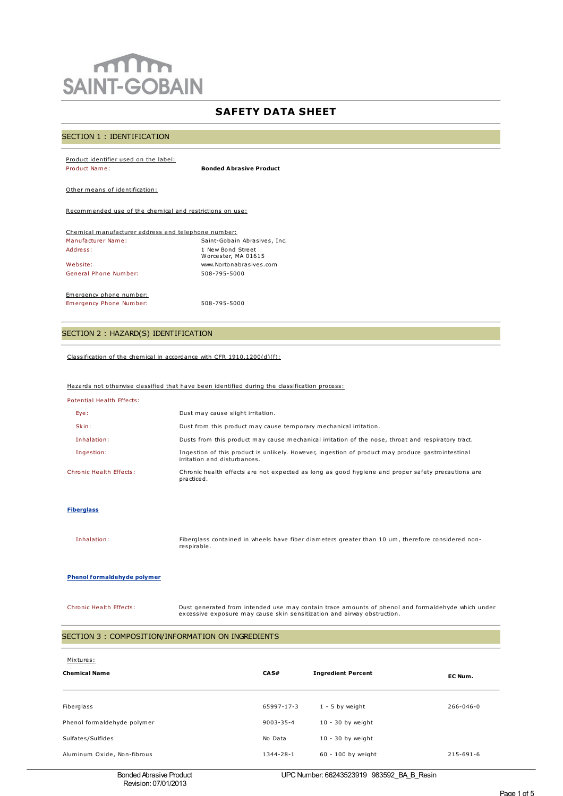# $m$ **SAINT-GOBAIN**

# **SAFETY DATA SHEET**

# SECTION 1 : IDENTIFICATION

#### Product identifier used on the label: Product Name: **Bonded Abrasive Product**

Other means of identification:

Recommended use of the chemical and restrictions on use:

| Chemical manufacturer address and telephone number: |                                          |  |  |
|-----------------------------------------------------|------------------------------------------|--|--|
| Manufacturer Name:                                  | Saint-Gobain Abrasives, Inc.             |  |  |
| Address:                                            | 1 New Bond Street<br>Worcester, MA 01615 |  |  |
| Website:                                            | www.Nortonabrasives.com                  |  |  |
| General Phone Number:                               | 508-795-5000                             |  |  |
| Emergency phone number:                             |                                          |  |  |
| Emergency Phone Number:                             | 508-795-5000                             |  |  |

# SECTION 2 : HAZARD(S) IDENTIFICATION

Classification of the chemical in accordance with CFR 1910.1200(d)(f):

#### Hazards not otherwise classified that have been identified during the classification process:

| Potential Health Effects: |  |  |
|---------------------------|--|--|
|                           |  |  |

| Eye:                    | Dust may cause slight irritation.                                                                                                 |
|-------------------------|-----------------------------------------------------------------------------------------------------------------------------------|
| Skin:                   | Dust from this product may cause temporary mechanical irritation.                                                                 |
| Inhalation:             | Dusts from this product may cause mechanical irritation of the nose, throat and respiratory tract.                                |
| Ingestion:              | Ingestion of this product is unlikely. However, ingestion of product may produce gastrointestinal<br>irritation and disturbances. |
| Chronic Health Effects: | Chronic health effects are not expected as long as good hygiene and proper safety precautions are<br>practiced.                   |

#### **Fiberglass**

Inhalation: Fiberglass contained in wheels have fiber diameters greater than 10 um, therefore considered nonrespirable.

#### **Phenol formaldehyde polymer**

Chronic Health Effects: Dust generated from intended use may contain trace amounts of phenol and formaldehyde which under excessive exposure may cause skin sensitization and airway obstruction.

## SECTION 3 : COMPOSITION/INFORMATION ON INGREDIENTS

| Mixtures:<br><b>Chemical Name</b> | CA S#           | <b>Ingredient Percent</b> | EC Num.         |
|-----------------------------------|-----------------|---------------------------|-----------------|
| Fiberglass                        | 65997-17-3      | $1 - 5$ by weight         | $266 - 046 - 0$ |
| Phenol formaldehyde polymer       | $9003 - 35 - 4$ | $10 - 30$ by weight       |                 |
| Sulfates/Sulfides                 | No Data         | $10 - 30$ by weight       |                 |
| Aluminum Oxide, Non-fibrous       | $1344 - 28 - 1$ | 60 - 100 by weight        | $215 - 691 - 6$ |

UPCNumber: 66243523919 983592\_BA\_B\_Resin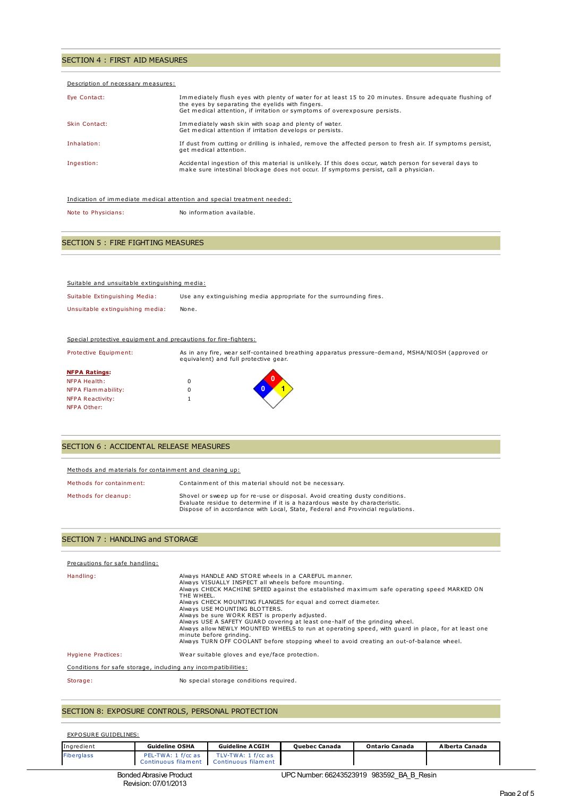# SECTION 4 : FIRST AID MEASURES

| Description of necessary measures: |                                                                                                                                                                                                                                          |
|------------------------------------|------------------------------------------------------------------------------------------------------------------------------------------------------------------------------------------------------------------------------------------|
| Eye Contact:                       | Immediately flush eyes with plenty of water for at least 15 to 20 minutes. Ensure adequate flushing of<br>the eyes by separating the eyelids with fingers.<br>Get medical attention, if irritation or symptoms of overexposure persists. |
| Skin Contact:                      | Immediately wash skin with soap and plenty of water.<br>Get medical attention if irritation develops or persists.                                                                                                                        |
| Inhalation:                        | If dust from cutting or drilling is inhaled, remove the affected person to fresh air. If symptoms persist,<br>get medical attention.                                                                                                     |
| Ingestion:                         | Accidental ingestion of this material is unlikely. If this does occur, watch person for several days to<br>make sure intestinal blockage does not occur. If symptoms persist, call a physician.                                          |
|                                    |                                                                                                                                                                                                                                          |
|                                    | Indication of immediate medical attention and special treatment needed:                                                                                                                                                                  |

Note to Physicians: No information available.

# SECTION 5 : FIRE FIGHTING MEASURES

| Suitable and unsuitable extinguishing media:                    |                                                                                                                                           |
|-----------------------------------------------------------------|-------------------------------------------------------------------------------------------------------------------------------------------|
| Suitable Extinguishing Media:                                   | Use any extinguishing media appropriate for the surrounding fires.                                                                        |
| Unsuitable extinguishing media:                                 | None.                                                                                                                                     |
|                                                                 |                                                                                                                                           |
| Special protective equipment and precautions for fire-fighters: |                                                                                                                                           |
| Protective Equipment:                                           | As in any fire, wear self-contained breathing apparatus pressure-demand, MSHA/NIOSH (approved or<br>equivalent) and full protective gear. |
| <b>NFPA Ratings:</b>                                            |                                                                                                                                           |
| NFPA Health:                                                    | 0                                                                                                                                         |
| NFPA Flammability:                                              | $\Omega$                                                                                                                                  |
| <b>NFPA Reactivity:</b>                                         |                                                                                                                                           |

# SECTION 6 : ACCIDENTAL RELEASE MEASURES

NFPA Other:

| Methods and materials for containment and cleaning up: |                                                                                                                                                                                                                                               |  |  |
|--------------------------------------------------------|-----------------------------------------------------------------------------------------------------------------------------------------------------------------------------------------------------------------------------------------------|--|--|
| Methods for containment:                               | Containment of this material should not be necessary.                                                                                                                                                                                         |  |  |
| Methods for cleanup:                                   | Shovel or sweep up for re-use or disposal. Avoid creating dusty conditions.<br>Evaluate residue to determine if it is a hazardous waste by characteristic.<br>Dispose of in accordance with Local, State, Federal and Provincial regulations. |  |  |

## SECTION 7 : HANDLING and STORAGE

| Precautions for safe handling:                                |                                                                                                                                                                                                                                                                                                                                                                                                                                                                                                                                                                                                                                                                                       |
|---------------------------------------------------------------|---------------------------------------------------------------------------------------------------------------------------------------------------------------------------------------------------------------------------------------------------------------------------------------------------------------------------------------------------------------------------------------------------------------------------------------------------------------------------------------------------------------------------------------------------------------------------------------------------------------------------------------------------------------------------------------|
| Handling:                                                     | Always HANDLE AND STORE wheels in a CAREFUL manner.<br>Always VISUALLY INSPECT all wheels before mounting.<br>Always CHECK MACHINE SPEED against the established maximum safe operating speed MARKED ON<br>THE WHEEL.<br>Always CHECK MOUNTING FLANGES for equal and correct diameter.<br>Always USE MOUNTING BLOTTERS.<br>Always be sure WORK REST is properly adjusted.<br>Always USE A SAFETY GUARD covering at least one-half of the grinding wheel.<br>Always allow NEWLY MOUNTED WHEELS to run at operating speed, with quard in place, for at least one<br>minute before grinding.<br>Always TURN OFF COOLANT before stopping wheel to avoid creating an out-of-balance wheel. |
| Hygiene Practices:                                            | Wear suitable gloves and eye/face protection.                                                                                                                                                                                                                                                                                                                                                                                                                                                                                                                                                                                                                                         |
| Conditions for safe storage, including any incompatibilities: |                                                                                                                                                                                                                                                                                                                                                                                                                                                                                                                                                                                                                                                                                       |
| Storage:                                                      | No special storage conditions required.                                                                                                                                                                                                                                                                                                                                                                                                                                                                                                                                                                                                                                               |

# SECTION 8: EXPOSURE CONTROLS, PERSONAL PROTECTION

Revision: 07/01/2013

#### EXPOSURE GUIDELINES:

| Ingredient        | <b>Guideline OSHA</b>          | <b>Guideline ACGIH</b>                                         | <b>Ouebec Canada</b>                      | <b>Ontario Canada</b> | Alberta Canada |
|-------------------|--------------------------------|----------------------------------------------------------------|-------------------------------------------|-----------------------|----------------|
| <b>Fiberalass</b> | PEL-TWA: 1 f/cc as             | TLV-TWA: 1 f/cc as<br>Continuous filament  Continuous filament |                                           |                       |                |
|                   | <b>Bonded Abrasive Product</b> |                                                                | UPC Number: 66243523919 983592 BA B Resin |                       |                |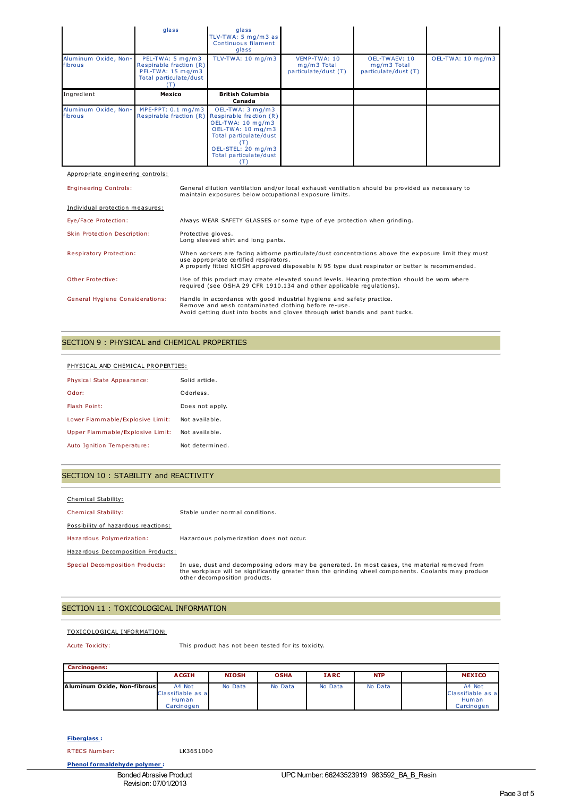|                                 | glass                                                                                      | glass<br>TLV-TWA: 5 $mq/m3$ as<br>Continuous filament<br>glass |                                                     |                                                      |                   |
|---------------------------------|--------------------------------------------------------------------------------------------|----------------------------------------------------------------|-----------------------------------------------------|------------------------------------------------------|-------------------|
| Aluminum Oxide, Non-<br>fibrous | PEL-TWA: 5 mg/m3<br>Respirable fraction (R)<br>PEL-TWA: 15 mg/m3<br>Total particulate/dust | TLV-TWA: 10 mg/m3                                              | VEMP-TWA: 10<br>mg/m3 Total<br>particulate/dust (T) | OEL-TWAEV: 10<br>mg/m3 Total<br>particulate/dust (T) | OEL-TWA: 10 mg/m3 |
| Ingredient                      | Mexico                                                                                     | <b>British Columbia</b>                                        |                                                     |                                                      |                   |
|                                 |                                                                                            | Canada                                                         |                                                     |                                                      |                   |

Appropriate engineering controls:

| <b>Engineering Controls:</b>           | General dilution ventilation and/or local exhaust ventilation should be provided as necessary to<br>maintain exposures below occupational exposure limits.                                                                                       |
|----------------------------------------|--------------------------------------------------------------------------------------------------------------------------------------------------------------------------------------------------------------------------------------------------|
| Individual protection measures:        |                                                                                                                                                                                                                                                  |
| Eye/Face Protection:                   | Always WEAR SAFETY GLASSES or some type of eye protection when grinding.                                                                                                                                                                         |
| Skin Protection Description:           | Protective gloves.<br>Long sleeved shirt and long pants.                                                                                                                                                                                         |
| <b>Respiratory Protection:</b>         | When workers are facing airborne particulate/dust concentrations above the exposure limit they must<br>use appropriate certified respirators.<br>A properly fitted NIOSH approved disposable N 95 type dust respirator or better is recommended. |
| Other Protective:                      | Use of this product may create elevated sound levels. Hearing protection should be worn where<br>required (see OSHA 29 CFR 1910.134 and other applicable requlations).                                                                           |
| <b>General Hygiene Considerations:</b> | Handle in accordance with good industrial hygiene and safety practice.<br>Remove and wash contaminated clothing before re-use.<br>Avoid getting dust into boots and gloves through wrist bands and pant tucks.                                   |

## SECTION 9 : PHYSICAL and CHEMICAL PROPERTIES

| PHYSICAL AND CHEMICAL PROPERTIES: |                 |  |  |
|-----------------------------------|-----------------|--|--|
| Physical State Appearance:        | Solid article.  |  |  |
| Odor:                             | Odorless.       |  |  |
| Flash Point:                      | Does not apply. |  |  |
| Lower Flammable/Explosive Limit:  | Not available.  |  |  |
| Upper Flammable/Explosive Limit:  | Not available.  |  |  |
| Auto Ignition Temperature:        | Not determined. |  |  |

# SECTION 10 : STABILITY and REACTIVITY

| Chemical Stability:                 |                                                                                                                                                                                                                                        |
|-------------------------------------|----------------------------------------------------------------------------------------------------------------------------------------------------------------------------------------------------------------------------------------|
| <b>Chemical Stability:</b>          | Stable under normal conditions.                                                                                                                                                                                                        |
| Possibility of hazardous reactions: |                                                                                                                                                                                                                                        |
| Hazardous Polymerization:           | Hazardous polymerization does not occur.                                                                                                                                                                                               |
| Hazardous Decomposition Products:   |                                                                                                                                                                                                                                        |
| Special Decomposition Products:     | In use, dust and decomposing odors may be generated. In most cases, the material removed from<br>the workplace will be significantly greater than the grinding wheel components. Coolants may produce<br>other decomposition products. |

# SECTION 11 : TOXICOLOGICAL INFORMATION

#### TOXICOLOGICAL INFORMATION:

Acute Toxicity: This product has not been tested for its toxicity.

| <b>Carcinogens:</b>         |                                                    |              |             |             |            |  |                                                    |
|-----------------------------|----------------------------------------------------|--------------|-------------|-------------|------------|--|----------------------------------------------------|
|                             | <b>ACGIH</b>                                       | <b>NIOSH</b> | <b>OSHA</b> | <b>IARC</b> | <b>NTP</b> |  | <b>MEXICO</b>                                      |
| Aluminum Oxide, Non-fibrous | A4 Not<br>Classifiable as a<br>Human<br>Carcinogen | No Data      | No Data     | No Data     | No Data    |  | A4 Not<br>Classifiable as a<br>Human<br>Carcinogen |

## **Fiberglass :**

RTECS Number: LK3651000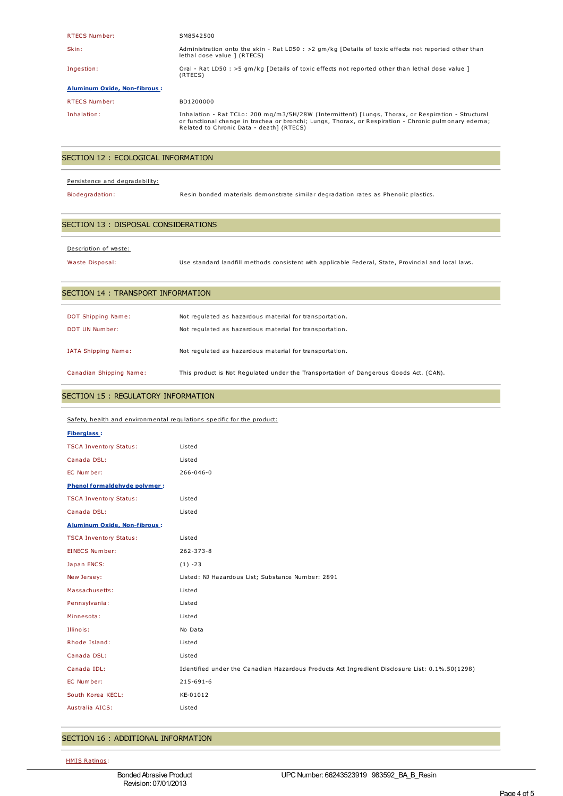| <b>RTECS Number:</b>                | SM8542500                                                                                                                                                                                                                                              |
|-------------------------------------|--------------------------------------------------------------------------------------------------------------------------------------------------------------------------------------------------------------------------------------------------------|
| Skin:                               | Administration onto the skin - Rat LD50 : >2 gm/kg [Details of toxic effects not reported other than<br>lethal dose value ] (RTECS)                                                                                                                    |
| Ingestion:                          | Oral - Rat LD50 : >5 gm/kg [Details of toxic effects not reported other than lethal dose value ]<br>(RTECS)                                                                                                                                            |
| <b>Aluminum Oxide, Non-fibrous:</b> |                                                                                                                                                                                                                                                        |
| <b>RTECS Number:</b>                | BD1200000                                                                                                                                                                                                                                              |
| Inhalation:                         | Inhalation - Rat TCLo: 200 mg/m3/5H/28W (Intermittent) [Lungs, Thorax, or Respiration - Structural<br>or functional change in trachea or bronchi; Lungs, Thorax, or Respiration - Chronic pulmonary edema;<br>Related to Chronic Data - death1 (RTECS) |

# SECTION 12 : ECOLOGICAL INFORMATION

#### Persistence and degradability:

Biodegradation: Resin bonded materials demonstrate similar degradation rates as Phenolic plastics.

# SECTION 13 : DISPOSAL CONSIDERATIONS

#### Description of waste:

Waste Disposal: Use standard landfill methods consistent with applicable Federal, State, Provincial and local laws.

## SECTION 14 : TRANSPORT INFORMATION

| <b>DOT Shipping Name:</b> | Not regulated as hazardous material for transportation.                               |
|---------------------------|---------------------------------------------------------------------------------------|
| DOT UN Number:            | Not regulated as hazardous material for transportation.                               |
| IATA Shipping Name:       | Not regulated as hazardous material for transportation.                               |
| Canadian Shipping Name:   | This product is Not Requlated under the Transportation of Dangerous Goods Act. (CAN). |

#### SECTION 15 : REGULATORY INFORMATION

| Safety, health and environmental regulations specific for the product: |                                                                                                |  |
|------------------------------------------------------------------------|------------------------------------------------------------------------------------------------|--|
| <b>Fiberglass:</b>                                                     |                                                                                                |  |
| <b>TSCA Inventory Status:</b>                                          | Listed                                                                                         |  |
| Canada DSL:                                                            | Listed                                                                                         |  |
| EC Number:                                                             | $266 - 046 - 0$                                                                                |  |
| Phenol formaldehyde polymer:                                           |                                                                                                |  |
| <b>TSCA Inventory Status:</b>                                          | Listed                                                                                         |  |
| Canada DSL:                                                            | Listed                                                                                         |  |
| <b>Aluminum Oxide, Non-fibrous:</b>                                    |                                                                                                |  |
| <b>TSCA Inventory Status:</b>                                          | Listed                                                                                         |  |
| <b>EINECS Number:</b>                                                  | 262-373-8                                                                                      |  |
| Japan ENCS:                                                            | $(1) -23$                                                                                      |  |
| New Jersey:                                                            | Listed: NJ Hazardous List; Substance Number: 2891                                              |  |
| Massachusetts:                                                         | Listed                                                                                         |  |
| Pennsylvania:                                                          | Listed                                                                                         |  |
| Minnesota:                                                             | Listed                                                                                         |  |
| Illinois:                                                              | No Data                                                                                        |  |
| Rhode Island:                                                          | Listed                                                                                         |  |
| Canada DSL:                                                            | Listed                                                                                         |  |
| Canada IDL:                                                            | Identified under the Canadian Hazardous Products Act Ingredient Disclosure List: 0.1%.50(1298) |  |
| EC Number:                                                             | 215-691-6                                                                                      |  |
| South Korea KECL:                                                      | KE-01012                                                                                       |  |
| Australia AICS:                                                        | Listed                                                                                         |  |
|                                                                        |                                                                                                |  |

## SECTION 16 : ADDITIONAL INFORMATION

HMIS Ratings: